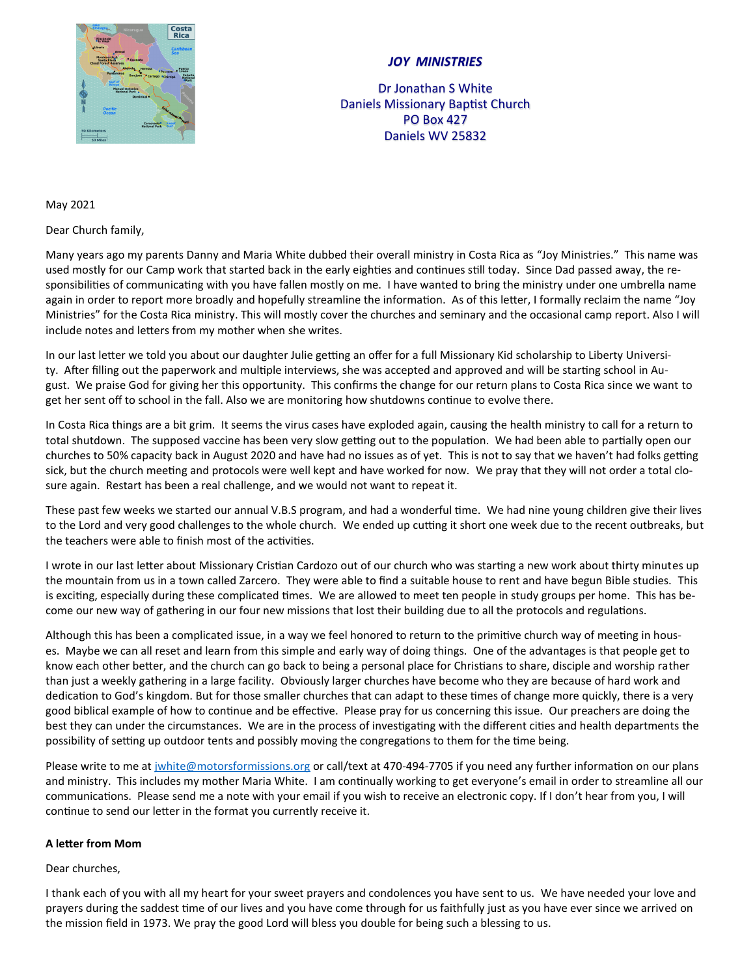

## *JOY MINISTRIES*

Dr Jonathan S White Daniels Missionary Baptist Church PO Box 427 Daniels WV 25832

## May 2021

Dear Church family,

Many years ago my parents Danny and Maria White dubbed their overall ministry in Costa Rica as "Joy Ministries." This name was used mostly for our Camp work that started back in the early eighties and continues still today. Since Dad passed away, the responsibilities of communicating with you have fallen mostly on me. I have wanted to bring the ministry under one umbrella name again in order to report more broadly and hopefully streamline the information. As of this letter, I formally reclaim the name "Joy Ministries" for the Costa Rica ministry. This will mostly cover the churches and seminary and the occasional camp report. Also I will include notes and letters from my mother when she writes.

In our last letter we told you about our daughter Julie getting an offer for a full Missionary Kid scholarship to Liberty University. After filling out the paperwork and multiple interviews, she was accepted and approved and will be starting school in August. We praise God for giving her this opportunity. This confirms the change for our return plans to Costa Rica since we want to get her sent off to school in the fall. Also we are monitoring how shutdowns continue to evolve there.

In Costa Rica things are a bit grim. It seems the virus cases have exploded again, causing the health ministry to call for a return to total shutdown. The supposed vaccine has been very slow getting out to the population. We had been able to partially open our churches to 50% capacity back in August 2020 and have had no issues as of yet. This is not to say that we haven't had folks getting sick, but the church meeting and protocols were well kept and have worked for now. We pray that they will not order a total closure again. Restart has been a real challenge, and we would not want to repeat it.

These past few weeks we started our annual V.B.S program, and had a wonderful time. We had nine young children give their lives to the Lord and very good challenges to the whole church. We ended up cutting it short one week due to the recent outbreaks, but the teachers were able to finish most of the activities.

I wrote in our last letter about Missionary Cristian Cardozo out of our church who was starting a new work about thirty minutes up the mountain from us in a town called Zarcero. They were able to find a suitable house to rent and have begun Bible studies. This is exciting, especially during these complicated times. We are allowed to meet ten people in study groups per home. This has become our new way of gathering in our four new missions that lost their building due to all the protocols and regulations.

Although this has been a complicated issue, in a way we feel honored to return to the primitive church way of meeting in houses. Maybe we can all reset and learn from this simple and early way of doing things. One of the advantages is that people get to know each other better, and the church can go back to being a personal place for Christians to share, disciple and worship rather than just a weekly gathering in a large facility. Obviously larger churches have become who they are because of hard work and dedication to God's kingdom. But for those smaller churches that can adapt to these times of change more quickly, there is a very good biblical example of how to continue and be effective. Please pray for us concerning this issue. Our preachers are doing the best they can under the circumstances. We are in the process of investigating with the different cities and health departments the possibility of setting up outdoor tents and possibly moving the congregations to them for the time being.

Please write to me at [jwhite@motorsformissions.org](mailto:jwhite@motorsformissions.org) or call/text at 470-494-7705 if you need any further information on our plans and ministry. This includes my mother Maria White. I am continually working to get everyone's email in order to streamline all our communications. Please send me a note with your email if you wish to receive an electronic copy. If I don't hear from you, I will continue to send our letter in the format you currently receive it.

## **A letter from Mom**

## Dear churches,

I thank each of you with all my heart for your sweet prayers and condolences you have sent to us. We have needed your love and prayers during the saddest time of our lives and you have come through for us faithfully just as you have ever since we arrived on the mission field in 1973. We pray the good Lord will bless you double for being such a blessing to us.